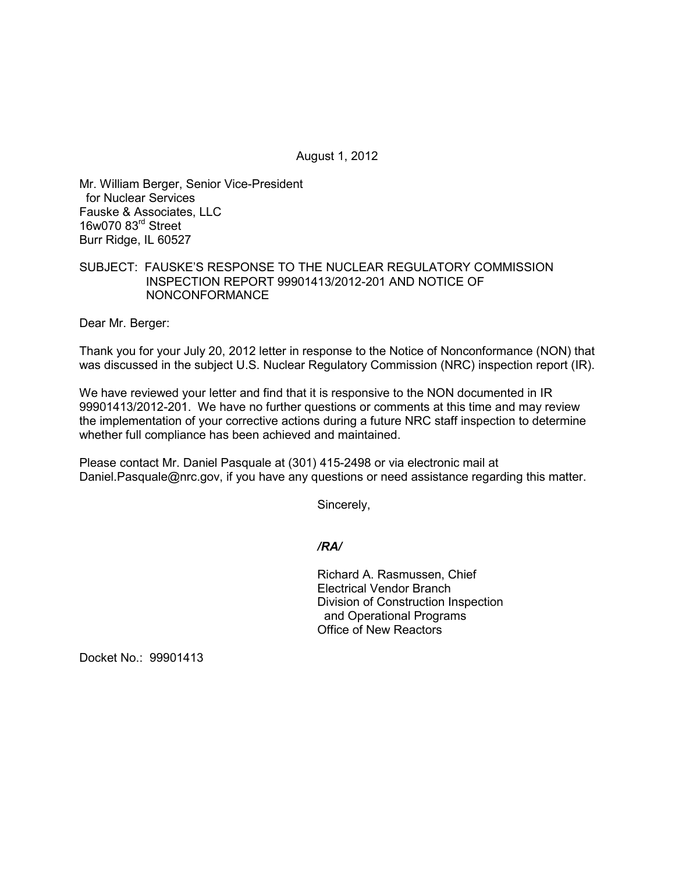August 1, 2012

Mr. William Berger, Senior Vice-President for Nuclear Services Fauske & Associates, LLC 16w070 83rd Street Burr Ridge, IL 60527

## SUBJECT: FAUSKE'S RESPONSE TO THE NUCLEAR REGULATORY COMMISSION INSPECTION REPORT 99901413/2012-201 AND NOTICE OF NONCONFORMANCE

Dear Mr. Berger:

Thank you for your July 20, 2012 letter in response to the Notice of Nonconformance (NON) that was discussed in the subject U.S. Nuclear Regulatory Commission (NRC) inspection report (IR).

We have reviewed your letter and find that it is responsive to the NON documented in IR 99901413/2012-201. We have no further questions or comments at this time and may review the implementation of your corrective actions during a future NRC staff inspection to determine whether full compliance has been achieved and maintained.

Please contact Mr. Daniel Pasquale at (301) 415-2498 or via electronic mail at Daniel.Pasquale@nrc.gov, if you have any questions or need assistance regarding this matter.

Sincerely,

*/RA/* 

Richard A. Rasmussen, Chief Electrical Vendor Branch Division of Construction Inspection and Operational Programs Office of New Reactors

Docket No.: 99901413